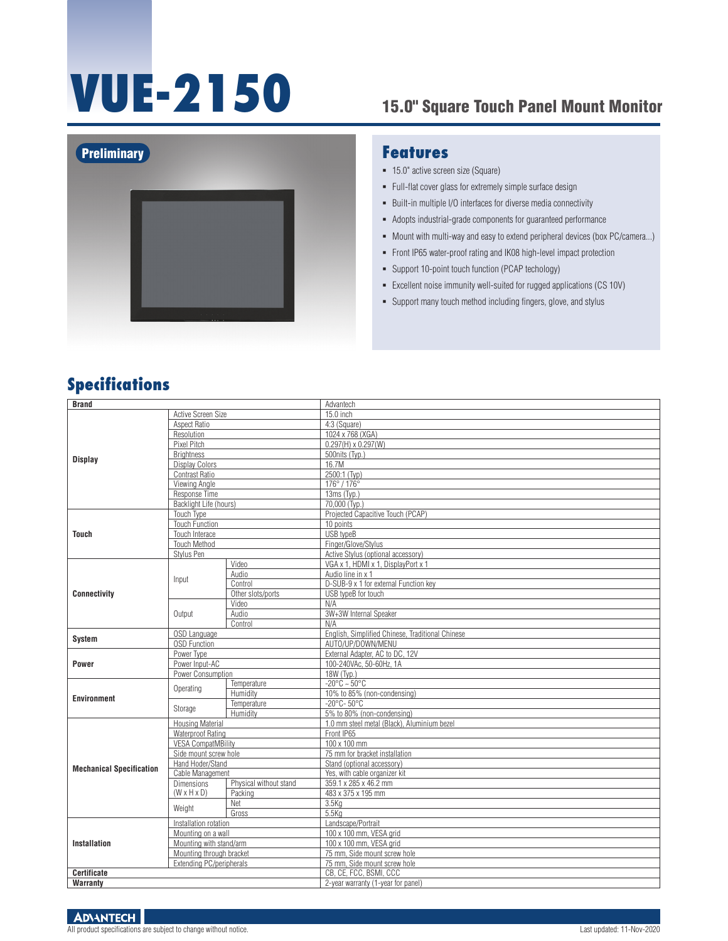# **VUE-2150** 15.0" Square Touch Panel Mount Monitor





#### **Features**

- 15.0" active screen size (Square)
- Full-flat cover glass for extremely simple surface design
- Built-in multiple I/O interfaces for diverse media connectivity
- Adopts industrial-grade components for guaranteed performance
- $\blacksquare$  Mount with multi-way and easy to extend peripheral devices (box PC/camera...)
- Front IP65 water-proof rating and IK08 high-level impact protection
- Support 10-point touch function (PCAP techology)
- Excellent noise immunity well-suited for rugged applications (CS 10V)
- Support many touch method including fingers, glove, and stylus

### **Specifications**

| <b>Brand</b>                    |                                     |                        | Advantech                                        |
|---------------------------------|-------------------------------------|------------------------|--------------------------------------------------|
|                                 | Active Screen Size                  |                        | 15.0 inch                                        |
| <b>Display</b>                  | Aspect Ratio                        |                        | 4:3 (Square)                                     |
|                                 | Resolution                          |                        | 1024 x 768 (XGA)                                 |
|                                 | Pixel Pitch                         |                        | $0.297(H) \times 0.297(W)$                       |
|                                 | <b>Brightness</b>                   |                        | 500nits (Tvp.)                                   |
|                                 | <b>Display Colors</b>               |                        | 16.7M                                            |
|                                 | Contrast Ratio                      |                        | 2500:1 (Typ)                                     |
|                                 | Viewing Angle                       |                        | 176°/176°                                        |
|                                 | Response Time                       |                        | 13ms (Typ.)                                      |
|                                 | Backlight Life (hours)              |                        | 70,000 (Typ.)                                    |
|                                 | Touch Type                          |                        | Projected Capacitive Touch (PCAP)                |
|                                 | <b>Touch Function</b>               |                        | 10 points                                        |
| <b>Touch</b>                    | Touch Interace                      |                        | USB typeB                                        |
|                                 | <b>Touch Method</b>                 |                        | Finger/Glove/Stylus                              |
|                                 | Stylus Pen                          |                        | Active Stylus (optional accessory)               |
|                                 |                                     | Video                  | VGA x 1, HDMI x 1, DisplayPort x 1               |
|                                 |                                     | Audio                  | Audio line in x 1                                |
|                                 | Input                               | Control                | D-SUB-9 x 1 for external Function key            |
| <b>Connectivity</b>             |                                     | Other slots/ports      | USB typeB for touch                              |
|                                 |                                     | Video                  | N/A                                              |
|                                 | Output                              | Audio                  | 3W+3W Internal Speaker                           |
|                                 |                                     | Control                | N/A                                              |
|                                 | OSD Language<br><b>OSD Function</b> |                        | English, Simplified Chinese, Traditional Chinese |
| <b>System</b>                   |                                     |                        | AUTO/UP/DOWN/MENU                                |
|                                 | Power Type                          |                        | External Adapter. AC to DC. 12V                  |
| <b>Power</b>                    | Power Input-AC                      |                        | 100-240VAc, 50-60Hz, 1A                          |
|                                 | Power Consumption                   |                        | 18W (Typ.)                                       |
|                                 |                                     | Temperature            | $-20^{\circ}$ C ~ 50 $^{\circ}$ C                |
| <b>Environment</b>              | Operating                           | Humidity               | 10% to 85% (non-condensing)                      |
|                                 | Storage                             | Temperature            | $-20^{\circ}$ C-50 $^{\circ}$ C                  |
|                                 |                                     | Humidity               | 5% to 80% (non-condensing)                       |
|                                 | <b>Housing Material</b>             |                        | 1.0 mm steel metal (Black), Aluminium bezel      |
|                                 | <b>Waterproof Rating</b>            |                        | Front IP65                                       |
|                                 | <b>VESA CompatMBility</b>           |                        | 100 x 100 mm                                     |
|                                 | Side mount screw hole               |                        | 75 mm for bracket installation                   |
| <b>Mechanical Specification</b> | Hand Hoder/Stand                    |                        | Stand (optional accessory)                       |
|                                 | Cable Management                    |                        | Yes, with cable organizer kit                    |
|                                 | <b>Dimensions</b>                   | Physical without stand | 359.1 x 285 x 46.2 mm                            |
|                                 | $(W \times H \times D)$             | Packing                | 483 x 375 x 195 mm                               |
|                                 | Weight                              | Net                    | 3.5K <sub>Q</sub>                                |
|                                 |                                     | Gross                  | $5.5$ Ka                                         |
| <b>Installation</b>             | Installation rotation               |                        | Landscape/Portrait                               |
|                                 | Mounting on a wall                  |                        | 100 x 100 mm, VESA grid                          |
|                                 | Mounting with stand/arm             |                        | 100 x 100 mm, VESA grid                          |
|                                 | Mounting through bracket            |                        | 75 mm. Side mount screw hole                     |
|                                 | Extending PC/peripherals            |                        | 75 mm, Side mount screw hole                     |
| Certificate                     |                                     |                        | CB, CE, FCC, BSMI, CCC                           |
| Warranty                        |                                     |                        | 2-year warranty (1-year for panel)               |

**ADVANTECH**